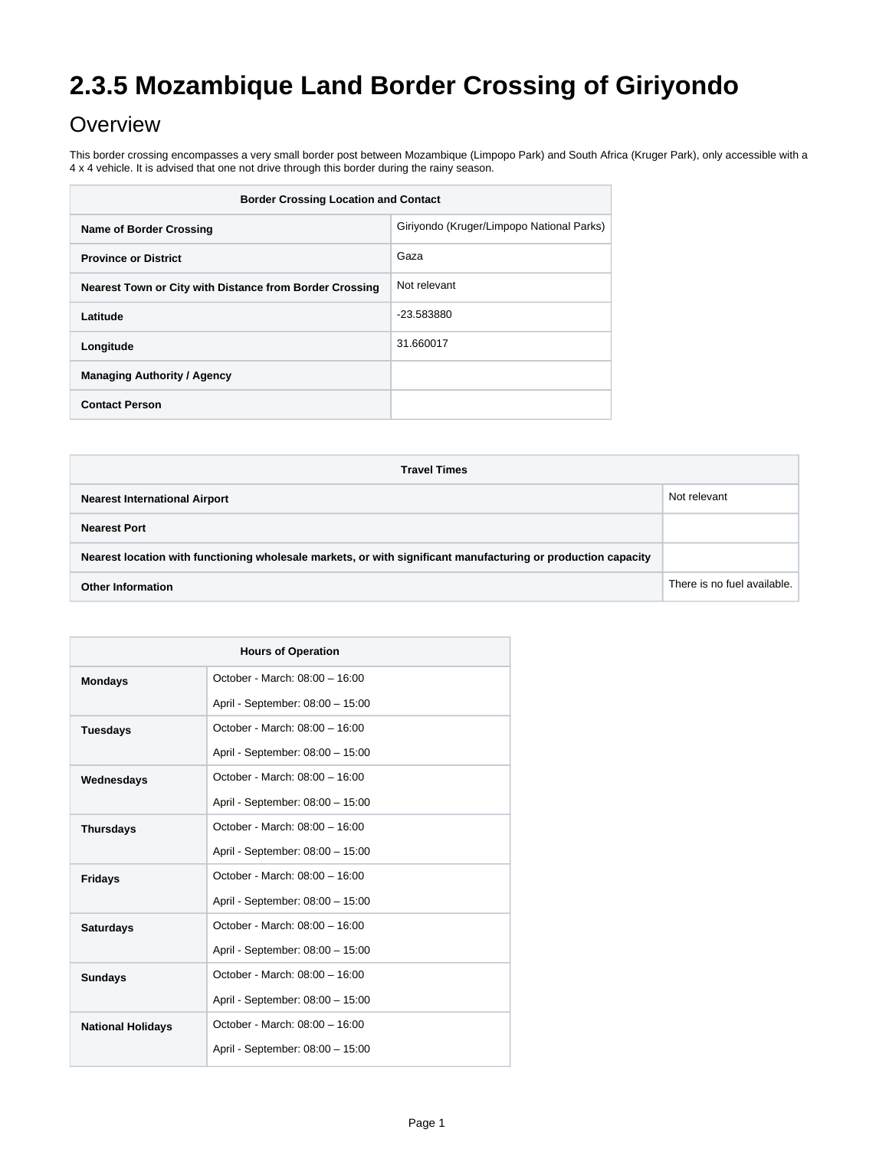# **2.3.5 Mozambique Land Border Crossing of Giriyondo**

## **Overview**

This border crossing encompasses a very small border post between Mozambique (Limpopo Park) and South Africa (Kruger Park), only accessible with a 4 x 4 vehicle. It is advised that one not drive through this border during the rainy season.

| <b>Border Crossing Location and Contact</b>             |                                           |
|---------------------------------------------------------|-------------------------------------------|
| <b>Name of Border Crossing</b>                          | Giriyondo (Kruger/Limpopo National Parks) |
| <b>Province or District</b>                             | Gaza                                      |
| Nearest Town or City with Distance from Border Crossing | Not relevant                              |
| Latitude                                                | -23.583880                                |
| Longitude                                               | 31.660017                                 |
| <b>Managing Authority / Agency</b>                      |                                           |
| <b>Contact Person</b>                                   |                                           |

| <b>Travel Times</b>                                                                                           |                             |  |
|---------------------------------------------------------------------------------------------------------------|-----------------------------|--|
| <b>Nearest International Airport</b>                                                                          | Not relevant                |  |
| <b>Nearest Port</b>                                                                                           |                             |  |
| Nearest location with functioning wholesale markets, or with significant manufacturing or production capacity |                             |  |
| <b>Other Information</b>                                                                                      | There is no fuel available. |  |

| <b>Hours of Operation</b> |                                  |
|---------------------------|----------------------------------|
| <b>Mondays</b>            | October - March: 08:00 - 16:00   |
|                           | April - September: 08:00 - 15:00 |
| <b>Tuesdays</b>           | October - March: 08:00 - 16:00   |
|                           | April - September: 08:00 - 15:00 |
| Wednesdays                | October - March: 08:00 - 16:00   |
|                           | April - September: 08:00 - 15:00 |
| <b>Thursdays</b>          | October - March: 08:00 - 16:00   |
|                           | April - September: 08:00 - 15:00 |
| <b>Fridays</b>            | October - March: 08:00 - 16:00   |
|                           | April - September: 08:00 - 15:00 |
| <b>Saturdays</b>          | October - March: 08:00 - 16:00   |
|                           | April - September: 08:00 - 15:00 |
| <b>Sundays</b>            | October - March: 08:00 - 16:00   |
|                           | April - September: 08:00 - 15:00 |
| <b>National Holidays</b>  | October - March: 08:00 - 16:00   |
|                           | April - September: 08:00 - 15:00 |